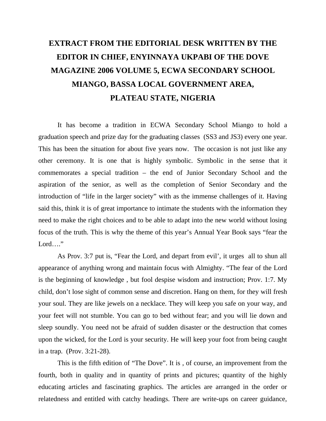## **EXTRACT FROM THE EDITORIAL DESK WRITTEN BY THE EDITOR IN CHIEF, ENYINNAYA UKPABI OF THE DOVE MAGAZINE 2006 VOLUME 5, ECWA SECONDARY SCHOOL MIANGO, BASSA LOCAL GOVERNMENT AREA, PLATEAU STATE, NIGERIA**

It has become a tradition in ECWA Secondary School Miango to hold a graduation speech and prize day for the graduating classes (SS3 and JS3) every one year. This has been the situation for about five years now. The occasion is not just like any other ceremony. It is one that is highly symbolic. Symbolic in the sense that it commemorates a special tradition – the end of Junior Secondary School and the aspiration of the senior, as well as the completion of Senior Secondary and the introduction of "life in the larger society" with as the immense challenges of it. Having said this, think it is of great importance to intimate the students with the information they need to make the right choices and to be able to adapt into the new world without losing focus of the truth. This is why the theme of this year's Annual Year Book says "fear the Lord…."

As Prov. 3:7 put is, "Fear the Lord, and depart from evil', it urges all to shun all appearance of anything wrong and maintain focus with Almighty. "The fear of the Lord is the beginning of knowledge , but fool despise wisdom and instruction; Prov. 1:7. My child, don't lose sight of common sense and discretion. Hang on them, for they will fresh your soul. They are like jewels on a necklace. They will keep you safe on your way, and your feet will not stumble. You can go to bed without fear; and you will lie down and sleep soundly. You need not be afraid of sudden disaster or the destruction that comes upon the wicked, for the Lord is your security. He will keep your foot from being caught in a trap. (Prov. 3:21-28).

This is the fifth edition of "The Dove". It is , of course, an improvement from the fourth, both in quality and in quantity of prints and pictures; quantity of the highly educating articles and fascinating graphics. The articles are arranged in the order or relatedness and entitled with catchy headings. There are write-ups on career guidance,